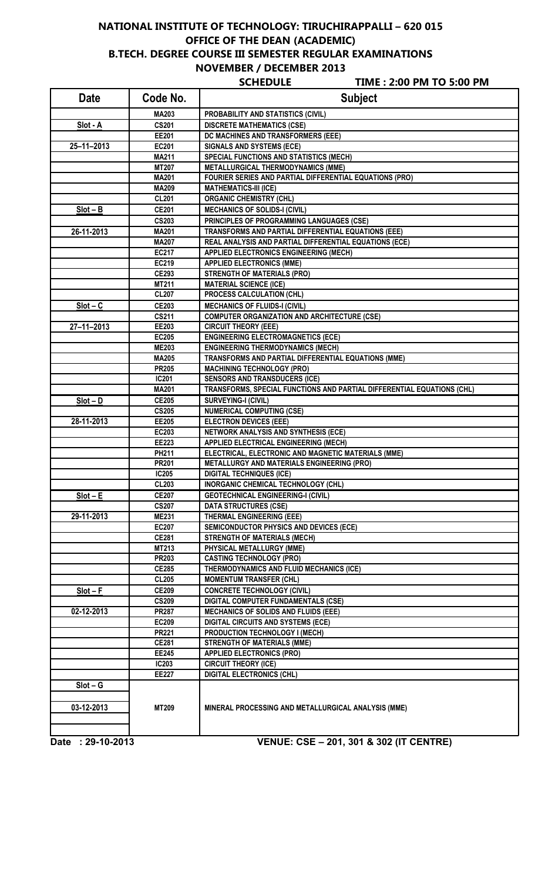## **NATIONAL INSTITUTE OF TECHNOLOGY: TIRUCHIRAPPALLI – 620 015 OFFICE OF THE DEAN (ACADEMIC) B.TECH. DEGREE COURSE III SEMESTER REGULAR EXAMINATIONS NOVEMBER / DECEMBER 2013**

**SCHEDULE TIME : 2:00 PM TO 5:00 PM**

 $\overline{1}$ 

| <b>Date</b>      | Code No.     | <b>Subject</b>                                                                                                 |
|------------------|--------------|----------------------------------------------------------------------------------------------------------------|
|                  | MA203        | PROBABILITY AND STATISTICS (CIVIL)                                                                             |
| Slot - A         | <b>CS201</b> | <b>DISCRETE MATHEMATICS (CSE)</b>                                                                              |
|                  | <b>EE201</b> | DC MACHINES AND TRANSFORMERS (EEE)                                                                             |
| $25 - 11 - 2013$ | EC201        | <b>SIGNALS AND SYSTEMS (ECE)</b>                                                                               |
|                  | <b>MA211</b> | <b>SPECIAL FUNCTIONS AND STATISTICS (MECH)</b>                                                                 |
|                  | <b>MT207</b> | <b>METALLURGICAL THERMODYNAMICS (MME)</b>                                                                      |
|                  | <b>MA201</b> | FOURIER SERIES AND PARTIAL DIFFERENTIAL EQUATIONS (PRO)                                                        |
|                  | <b>MA209</b> | <b>MATHEMATICS-III (ICE)</b>                                                                                   |
|                  | <b>CL201</b> | <b>ORGANIC CHEMISTRY (CHL)</b>                                                                                 |
| $Slot - B$       | <b>CE201</b> | <b>MECHANICS OF SOLIDS-I (CIVIL)</b>                                                                           |
|                  | <b>CS203</b> | PRINCIPLES OF PROGRAMMING LANGUAGES (CSE)                                                                      |
| 26-11-2013       | <b>MA201</b> | TRANSFORMS AND PARTIAL DIFFERENTIAL EQUATIONS (EEE)                                                            |
|                  | <b>MA207</b> | REAL ANALYSIS AND PARTIAL DIFFERENTIAL EQUATIONS (ECE)                                                         |
|                  | <b>EC217</b> | <b>APPLIED ELECTRONICS ENGINEERING (MECH)</b>                                                                  |
|                  | EC219        | <b>APPLIED ELECTRONICS (MME)</b>                                                                               |
|                  | <b>CE293</b> | <b>STRENGTH OF MATERIALS (PRO)</b>                                                                             |
|                  | MT211        | <b>MATERIAL SCIENCE (ICE)</b>                                                                                  |
|                  | <b>CL207</b> | PROCESS CALCULATION (CHL)                                                                                      |
| $Slot - C$       | <b>CE203</b> | <b>MECHANICS OF FLUIDS-I (CIVIL)</b>                                                                           |
|                  | CS211        | <b>COMPUTER ORGANIZATION AND ARCHITECTURE (CSE)</b>                                                            |
| $27 - 11 - 2013$ | EE203        | <b>CIRCUIT THEORY (EEE)</b>                                                                                    |
|                  | <b>EC205</b> | <b>ENGINEERING ELECTROMAGNETICS (ECE)</b>                                                                      |
|                  | <b>ME203</b> | <b>ENGINEERING THERMODYNAMICS (MECH)</b>                                                                       |
|                  | <b>MA205</b> | TRANSFORMS AND PARTIAL DIFFERENTIAL EQUATIONS (MME)                                                            |
|                  |              |                                                                                                                |
|                  | <b>PR205</b> | <b>MACHINING TECHNOLOGY (PRO)</b>                                                                              |
|                  | <b>IC201</b> | <b>SENSORS AND TRANSDUCERS (ICE)</b><br>TRANSFORMS, SPECIAL FUNCTIONS AND PARTIAL DIFFERENTIAL EQUATIONS (CHL) |
|                  | <b>MA201</b> |                                                                                                                |
| $Slot - D$       | <b>CE205</b> | <b>SURVEYING-I (CIVIL)</b>                                                                                     |
|                  | <b>CS205</b> | <b>NUMERICAL COMPUTING (CSE)</b>                                                                               |
| 28-11-2013       | <b>EE205</b> | <b>ELECTRON DEVICES (EEE)</b>                                                                                  |
|                  | EC203        | NETWORK ANALYSIS AND SYNTHESIS (ECE)                                                                           |
|                  | EE223        | APPLIED ELECTRICAL ENGINEERING (MECH)                                                                          |
|                  | PH211        | ELECTRICAL, ELECTRONIC AND MAGNETIC MATERIALS (MME)                                                            |
|                  | <b>PR201</b> | METALLURGY AND MATERIALS ENGINEERING (PRO)                                                                     |
|                  | <b>IC205</b> | <b>DIGITAL TECHNIQUES (ICE)</b>                                                                                |
|                  | <b>CL203</b> | INORGANIC CHEMICAL TECHNOLOGY (CHL)                                                                            |
| $Slot - E$       | <b>CE207</b> | <b>GEOTECHNICAL ENGINEERING-I (CIVIL)</b>                                                                      |
|                  | <b>CS207</b> | <b>DATA STRUCTURES (CSE)</b>                                                                                   |
| 29-11-2013       | <b>ME231</b> | <b>THERMAL ENGINEERING (EEE)</b>                                                                               |
|                  | <b>EC207</b> | <b>SEMICONDUCTOR PHYSICS AND DEVICES (ECE)</b>                                                                 |
|                  | <b>CE281</b> | <b>STRENGTH OF MATERIALS (MECH)</b>                                                                            |
|                  | MT213        | PHYSICAL METALLURGY (MME)                                                                                      |
|                  | <b>PR203</b> | <b>CASTING TECHNOLOGY (PRO)</b>                                                                                |
|                  | <b>CE285</b> | THERMODYNAMICS AND FLUID MECHANICS (ICE)                                                                       |
|                  | <b>CL205</b> | <b>MOMENTUM TRANSFER (CHL)</b>                                                                                 |
| $Slot - F$       | <b>CE209</b> | <b>CONCRETE TECHNOLOGY (CIVIL)</b>                                                                             |
|                  | <b>CS209</b> | DIGITAL COMPUTER FUNDAMENTALS (CSE)                                                                            |
| 02-12-2013       | <b>PR287</b> | <b>MECHANICS OF SOLIDS AND FLUIDS (EEE)</b>                                                                    |
|                  | <b>EC209</b> | <b>DIGITAL CIRCUITS AND SYSTEMS (ECE)</b>                                                                      |
|                  | <b>PR221</b> | PRODUCTION TECHNOLOGY I (MECH)                                                                                 |
|                  | <b>CE281</b> | <b>STRENGTH OF MATERIALS (MME)</b>                                                                             |
|                  | EE245        | <b>APPLIED ELECTRONICS (PRO)</b>                                                                               |
|                  | <b>IC203</b> | <b>CIRCUIT THEORY (ICE)</b>                                                                                    |
|                  | <b>EE227</b> | <b>DIGITAL ELECTRONICS (CHL)</b>                                                                               |
| $Slot - G$       |              |                                                                                                                |
| 03-12-2013       | MT209        | MINERAL PROCESSING AND METALLURGICAL ANALYSIS (MME)                                                            |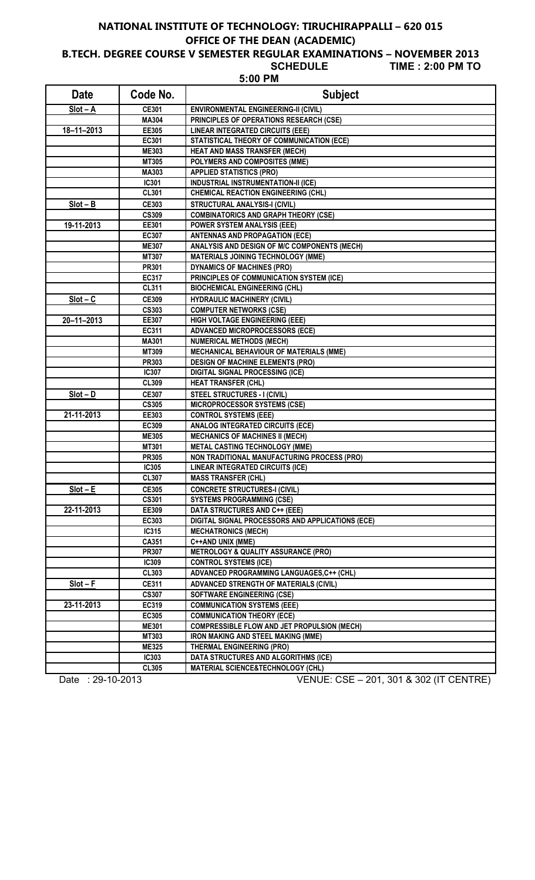# **NATIONAL INSTITUTE OF TECHNOLOGY: TIRUCHIRAPPALLI – 620 015 OFFICE OF THE DEAN (ACADEMIC)**

**B.TECH. DEGREE COURSE V SEMESTER REGULAR EXAMINATIONS – NOVEMBER 2013**

 $5:00$ 

**TIME : 2:00 PM TO** 

| <b>Date</b>      | Code No.              | <b>Subject</b>                                                                    |
|------------------|-----------------------|-----------------------------------------------------------------------------------|
| $Slot - A$       | CE301                 | ENVIRONMENTAL ENGINEERING-II (CIVIL)                                              |
|                  | MA304                 | PRINCIPLES OF OPERATIONS RESEARCH (CSE)                                           |
| $18 - 11 - 2013$ | EE305                 | <b>LINEAR INTEGRATED CIRCUITS (EEE)</b>                                           |
|                  | EC301                 | STATISTICAL THEORY OF COMMUNICATION (ECE)                                         |
|                  | <b>ME303</b>          | <b>HEAT AND MASS TRANSFER (MECH)</b>                                              |
|                  | MT305                 | POLYMERS AND COMPOSITES (MME)                                                     |
|                  | MA303                 | <b>APPLIED STATISTICS (PRO)</b>                                                   |
|                  | IC301                 | <b>INDUSTRIAL INSTRUMENTATION-II (ICE)</b>                                        |
|                  | <b>CL301</b>          | <b>CHEMICAL REACTION ENGINEERING (CHL)</b>                                        |
| $Slot - B$       | CE303                 | STRUCTURAL ANALYSIS-I (CIVIL)                                                     |
|                  | <b>CS309</b>          | <b>COMBINATORICS AND GRAPH THEORY (CSE)</b>                                       |
| 19-11-2013       | EE301                 | <b>POWER SYSTEM ANALYSIS (EEE)</b>                                                |
|                  | EC307                 | <b>ANTENNAS AND PROPAGATION (ECE)</b>                                             |
|                  | <b>ME307</b>          | ANALYSIS AND DESIGN OF M/C COMPONENTS (MECH)                                      |
|                  | MT307                 | <b>MATERIALS JOINING TECHNOLOGY (MME)</b>                                         |
|                  | PR301                 | <b>DYNAMICS OF MACHINES (PRO)</b>                                                 |
|                  | EC317                 | PRINCIPLES OF COMMUNICATION SYSTEM (ICE)                                          |
|                  | <b>CL311</b>          | <b>BIOCHEMICAL ENGINEERING (CHL)</b>                                              |
| $Slot - C$       | <b>CE309</b>          | <b>HYDRAULIC MACHINERY (CIVIL)</b>                                                |
|                  | <b>CS303</b>          | <b>COMPUTER NETWORKS (CSE)</b>                                                    |
| $20 - 11 - 2013$ | EE307                 | HIGH VOLTAGE ENGINEERING (EEE)                                                    |
|                  | EC311                 | <b>ADVANCED MICROPROCESSORS (ECE)</b>                                             |
|                  | <b>MA301</b>          | <b>NUMERICAL METHODS (MECH)</b>                                                   |
|                  | MT309                 | <b>MECHANICAL BEHAVIOUR OF MATERIALS (MME)</b>                                    |
|                  | <b>PR303</b>          | <b>DESIGN OF MACHINE ELEMENTS (PRO)</b>                                           |
|                  | IC307                 | <b>DIGITAL SIGNAL PROCESSING (ICE)</b>                                            |
|                  | <b>CL309</b>          | <b>HEAT TRANSFER (CHL)</b>                                                        |
| $Slot - D$       | <b>CE307</b>          | <b>STEEL STRUCTURES - I (CIVIL)</b>                                               |
|                  | <b>CS305</b>          | <b>MICROPROCESSOR SYSTEMS (CSE)</b>                                               |
| 21-11-2013       | EE303                 | <b>CONTROL SYSTEMS (EEE)</b>                                                      |
|                  | EC309<br><b>ME305</b> | <b>ANALOG INTEGRATED CIRCUITS (ECE)</b><br><b>MECHANICS OF MACHINES II (MECH)</b> |
|                  | MT301                 | <b>METAL CASTING TECHNOLOGY (MME)</b>                                             |
|                  | <b>PR305</b>          | NON TRADITIONAL MANUFACTURING PROCESS (PRO)                                       |
|                  | <b>IC305</b>          | <b>LINEAR INTEGRATED CIRCUITS (ICE)</b>                                           |
|                  | <b>CL307</b>          | <b>MASS TRANSFER (CHL)</b>                                                        |
| $Slot - E$       | <b>CE305</b>          | <b>CONCRETE STRUCTURES-I (CIVIL)</b>                                              |
|                  | <b>CS301</b>          | <b>SYSTEMS PROGRAMMING (CSE)</b>                                                  |
| 22-11-2013       | EE309                 | DATA STRUCTURES AND C++ (EEE)                                                     |
|                  | EC303                 | DIGITAL SIGNAL PROCESSORS AND APPLICATIONS (ECE)                                  |
|                  | IC315                 | <b>MECHATRONICS (MECH)</b>                                                        |
|                  | CA351                 | C++AND UNIX (MME)                                                                 |
|                  | <b>PR307</b>          | <b>METROLOGY &amp; QUALITY ASSURANCE (PRO)</b>                                    |
|                  | IC309                 | <b>CONTROL SYSTEMS (ICE)</b>                                                      |
|                  | <b>CL303</b>          | ADVANCED PROGRAMMING LANGUAGES, C++ (CHL)                                         |
| $Slot - F$       | <b>CE311</b>          | <b>ADVANCED STRENGTH OF MATERIALS (CIVIL)</b>                                     |
|                  | <b>CS307</b>          | <b>SOFTWARE ENGINEERING (CSE)</b>                                                 |
| 23-11-2013       | EC319                 | <b>COMMUNICATION SYSTEMS (EEE)</b>                                                |
|                  | EC305                 | <b>COMMUNICATION THEORY (ECE)</b>                                                 |
|                  | <b>ME301</b>          | <b>COMPRESSIBLE FLOW AND JET PROPULSION (MECH)</b>                                |
|                  | MT303                 | IRON MAKING AND STEEL MAKING (MME)                                                |
|                  | <b>ME325</b>          | <b>THERMAL ENGINEERING (PRO)</b>                                                  |
|                  | <b>IC303</b>          | DATA STRUCTURES AND ALGORITHMS (ICE)                                              |
|                  | <b>CL305</b>          | MATERIAL SCIENCE&TECHNOLOGY (CHL)                                                 |

Date : 29-10-2013 VENUE: CSE – 201, 301 & 302 (IT CENTRE)